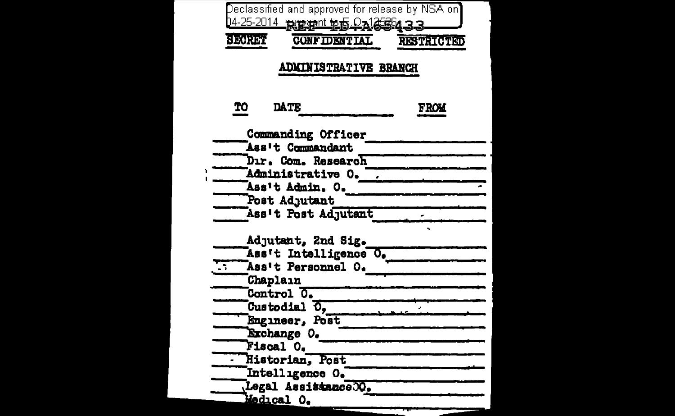| Declassified and approved for release by NSA on $\mathbb I$ |                         |
|-------------------------------------------------------------|-------------------------|
| 14-25-2014 <sub>REF</sub> in the OA 652433                  |                         |
| SECRET                                                      | CONFIDENTIAL RESTRICTED |
| <b>ADMINISTRATIVE BRANCH</b>                                |                         |
|                                                             |                         |
| TO<br><b>DATE</b>                                           | <b>FROM</b>             |
| Commanding Officer                                          |                         |
| Ass't Commandant                                            |                         |
| Dır. Com. Research                                          |                         |
| Administrative O. 77                                        |                         |
| Ass't Admin. O.                                             |                         |
| Post Adjutant                                               |                         |
| Ass't Post Adjutant                                         |                         |
| Adjutant, 2nd Sig.                                          |                         |
| Ass't Intelligence O.                                       |                         |
| Ass't Personnel O.<br>$\cdot$                               |                         |
| Chaplain                                                    |                         |
| $\overline{C}$ ontrol $\overline{O}$ .                      |                         |
| Custodial O,                                                |                         |
| Engineer, Post                                              |                         |
| Exchange O.                                                 |                         |
| <b>Fiscal O.</b>                                            |                         |
| - Historian, Post                                           |                         |
| Intelligence O.                                             |                         |
| Legal Assistance OO.                                        |                         |
| Medical O.                                                  |                         |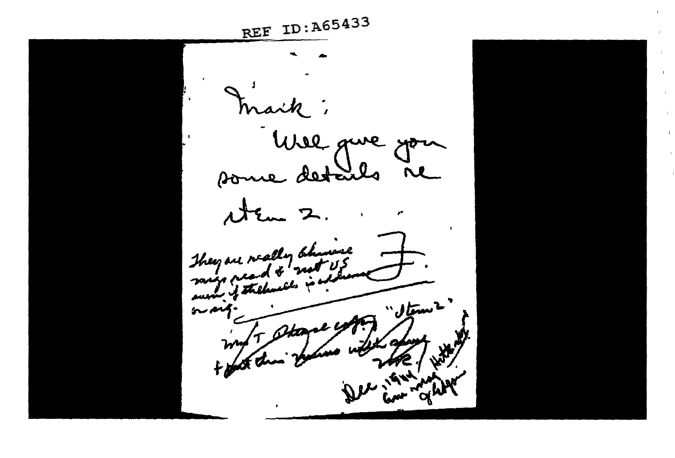REF ID: A65433 Lel 9 IJ They are really bluning  $-200$ Tam ، سيخ  $4 \sigma$